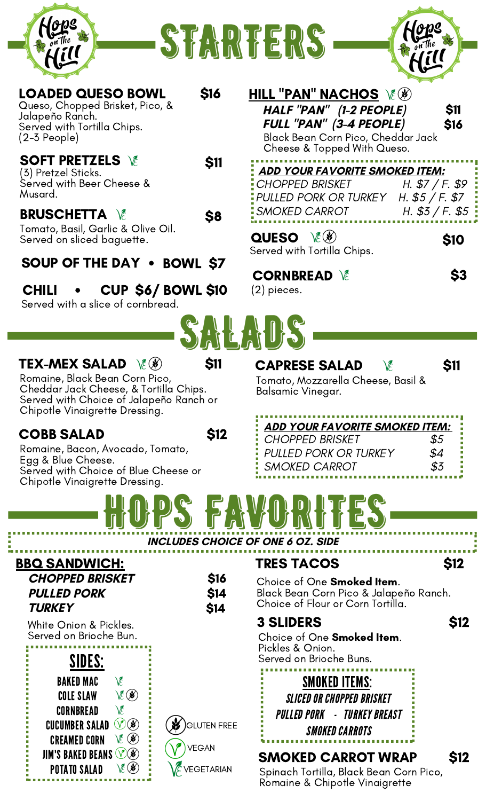





| <b>\$11</b><br>\$16<br><b>ADD YOUR FAVORITE SMOKED ITEM:</b><br>H. $$7/F. $9$<br>H. $$5 / F. $7$<br>H. $$3 / F. $5$<br>\$10<br>\$3 |
|------------------------------------------------------------------------------------------------------------------------------------|
|                                                                                                                                    |
|                                                                                                                                    |
|                                                                                                                                    |
|                                                                                                                                    |
| <b>\$11</b>                                                                                                                        |
| <b>ADD YOUR FAVORITE SMOKED ITEM:</b><br>\$5<br>\$4<br>\$3                                                                         |
|                                                                                                                                    |
| <b>S12</b>                                                                                                                         |
| Black Bean Corn Pico & Jalapeño Ranch.                                                                                             |
| <b>S12</b>                                                                                                                         |
|                                                                                                                                    |

GLUTEN FREE

VEGETARIAN

VEGAN

**CUCUMBER SALAD VB** 

 $\vee \in \mathcal{B}$ 

**JIM'S BAKED BEANS VOB** 

CREAMED CORN

POTATO SALAD

## SMOKED CARROT WRAP \$12

Spinach Tortilla, Black Bean Corn Pico, Romaine & Chipotle Vinaigrette

SMOKED CARROTS